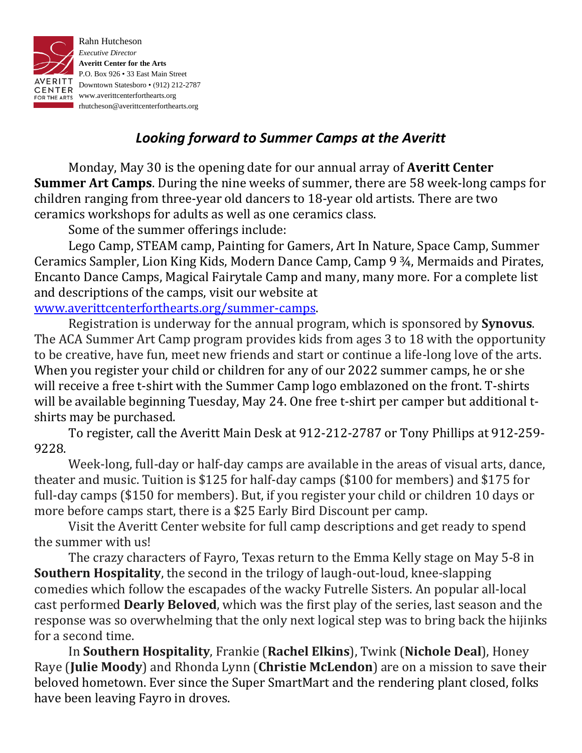

## *Looking forward to Summer Camps at the Averitt*

Monday, May 30 is the opening date for our annual array of **Averitt Center Summer Art Camps**. During the nine weeks of summer, there are 58 week-long camps for children ranging from three-year old dancers to 18-year old artists. There are two ceramics workshops for adults as well as one ceramics class.

Some of the summer offerings include:

Lego Camp, STEAM camp, Painting for Gamers, Art In Nature, Space Camp, Summer Ceramics Sampler, Lion King Kids, Modern Dance Camp, Camp 9 ¾, Mermaids and Pirates, Encanto Dance Camps, Magical Fairytale Camp and many, many more. For a complete list and descriptions of the camps, visit our website at

[www.averittcenterforthearts.org/summer-camps.](http://www.averittcenterforthearts.org/summer-camps)

Registration is underway for the annual program, which is sponsored by **Synovus**. The ACA Summer Art Camp program provides kids from ages 3 to 18 with the opportunity to be creative, have fun, meet new friends and start or continue a life-long love of the arts. When you register your child or children for any of our 2022 summer camps, he or she will receive a free t-shirt with the Summer Camp logo emblazoned on the front. T-shirts will be available beginning Tuesday, May 24. One free t-shirt per camper but additional tshirts may be purchased.

To register, call the Averitt Main Desk at 912-212-2787 or Tony Phillips at 912-259- 9228.

Week-long, full-day or half-day camps are available in the areas of visual arts, dance, theater and music. Tuition is \$125 for half-day camps (\$100 for members) and \$175 for full-day camps (\$150 for members). But, if you register your child or children 10 days or more before camps start, there is a \$25 Early Bird Discount per camp.

Visit the Averitt Center website for full camp descriptions and get ready to spend the summer with us!

The crazy characters of Fayro, Texas return to the Emma Kelly stage on May 5-8 in **Southern Hospitality**, the second in the trilogy of laugh-out-loud, knee-slapping comedies which follow the escapades of the wacky Futrelle Sisters. An popular all-local cast performed **Dearly Beloved**, which was the first play of the series, last season and the response was so overwhelming that the only next logical step was to bring back the hijinks for a second time.

In **Southern Hospitality**, Frankie (**Rachel Elkins**), Twink (**Nichole Deal**), Honey Raye (**Julie Moody**) and Rhonda Lynn (**Christie McLendon**) are on a mission to save their beloved hometown. Ever since the Super SmartMart and the rendering plant closed, folks have been leaving Fayro in droves.